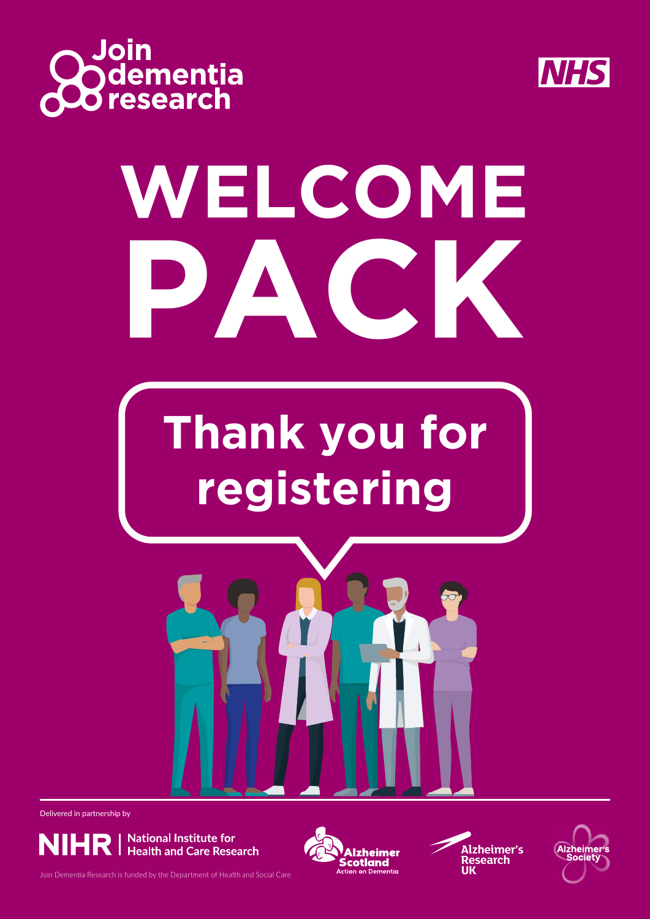



# **WELCOME PACK**

# **Thank you for registering**



Delivered in partnership by









Join Dementia Research is funded by the Department of Health and Social Care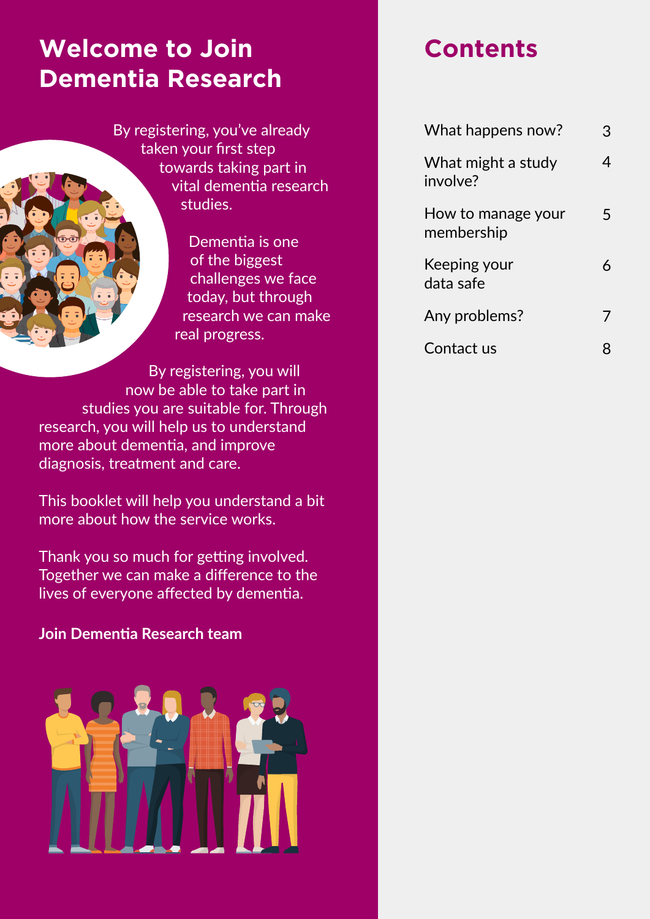#### **Welcome to Join Dementia Research**

By registering, you've already taken your first step towards taking part in vital dementia research studies.

> Dementia is one of the biggest challenges we face today, but through research we can make real progress.

By registering, you will now be able to take part in studies you are suitable for. Through research, you will help us to understand more about dementia, and improve diagnosis, treatment and care.

This booklet will help you understand a bit more about how the service works.

Thank you so much for getting involved. Together we can make a difference to the lives of everyone affected by dementia.

#### **Join Dementia Research team**



#### **Contents**

| What happens now?                | 3 |
|----------------------------------|---|
| What might a study<br>involve?   |   |
| How to manage your<br>membership | 5 |
| Keeping your<br>data safe        |   |
| Any problems?                    |   |
| Contact us                       |   |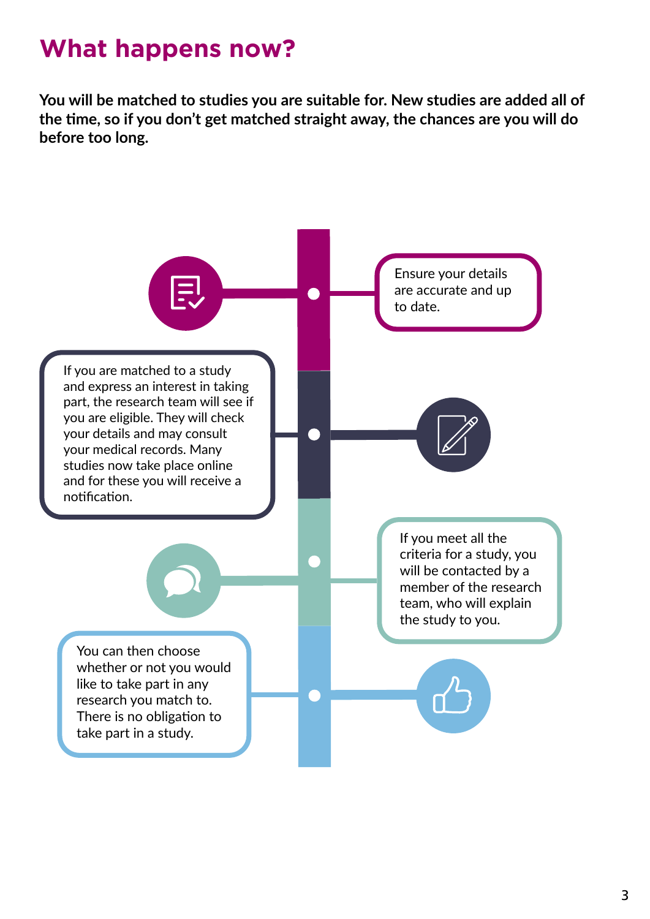## **What happens now?**

**You will be matched to studies you are suitable for. New studies are added all of the time, so if you don't get matched straight away, the chances are you will do before too long.**

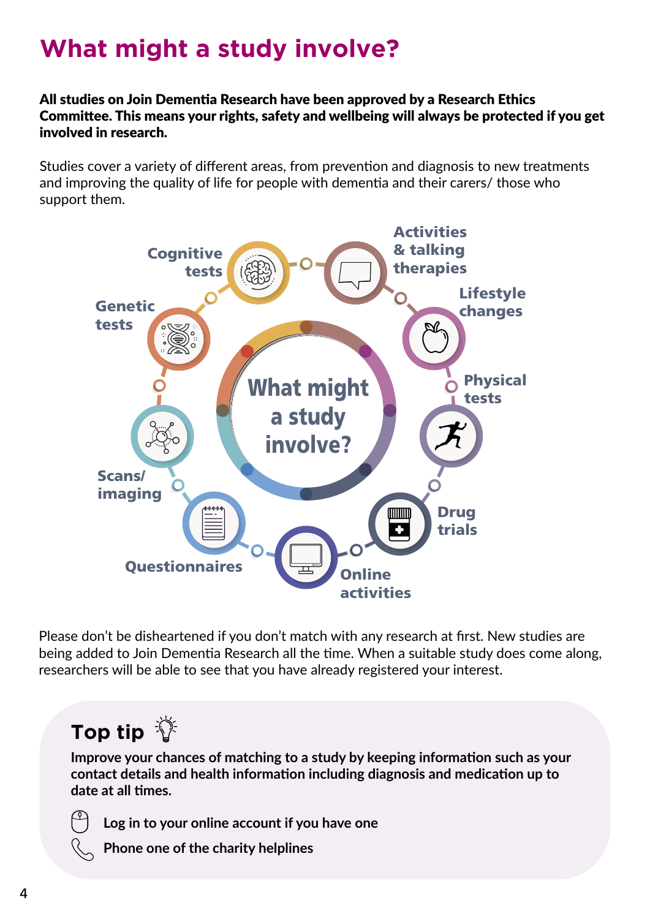# **What might a study involve?**

All studies on Join Dementia Research have been approved by a Research Ethics Committee. This means your rights, safety and wellbeing will always be protected if you get involved in research.

Studies cover a variety of different areas, from prevention and diagnosis to new treatments and improving the quality of life for people with dementia and their carers/ those who support them.



Please don't be disheartened if you don't match with any research at first. New studies are being added to Join Dementia Research all the time. When a suitable study does come along, researchers will be able to see that you have already registered your interest.

#### **Top tip**

**Improve your chances of matching to a study by keeping information such as your contact details and health information including diagnosis and medication up to date at all times.**



**Log in to your online account if you have one**

**Phone one of the charity helplines**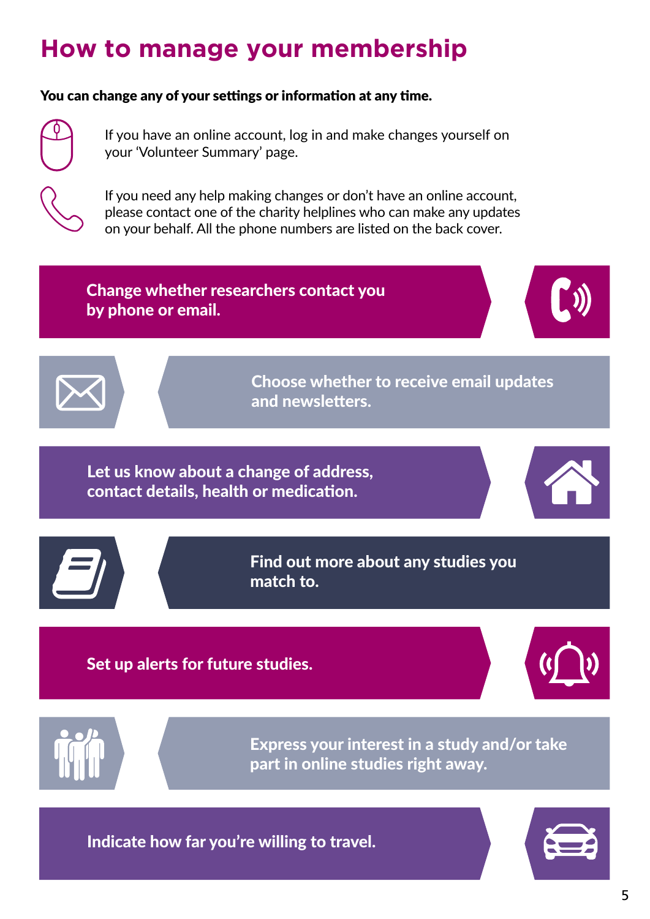## **How to manage your membership**

#### You can change any of your settings or information at any time.



If you have an online account, log in and make changes yourself on your 'Volunteer Summary' page.

If you need any help making changes or don't have an online account, please contact one of the charity helplines who can make any updates on your behalf. All the phone numbers are listed on the back cover.

Change whether researchers contact you by phone or email.





Choose whether to receive email updates and newsletters.

Let us know about a change of address, contact details, health or medication.





Find out more about any studies you match to.

Set up alerts for future studies.





Express your interest in a study and/or take part in online studies right away.

Indicate how far you're willing to travel.

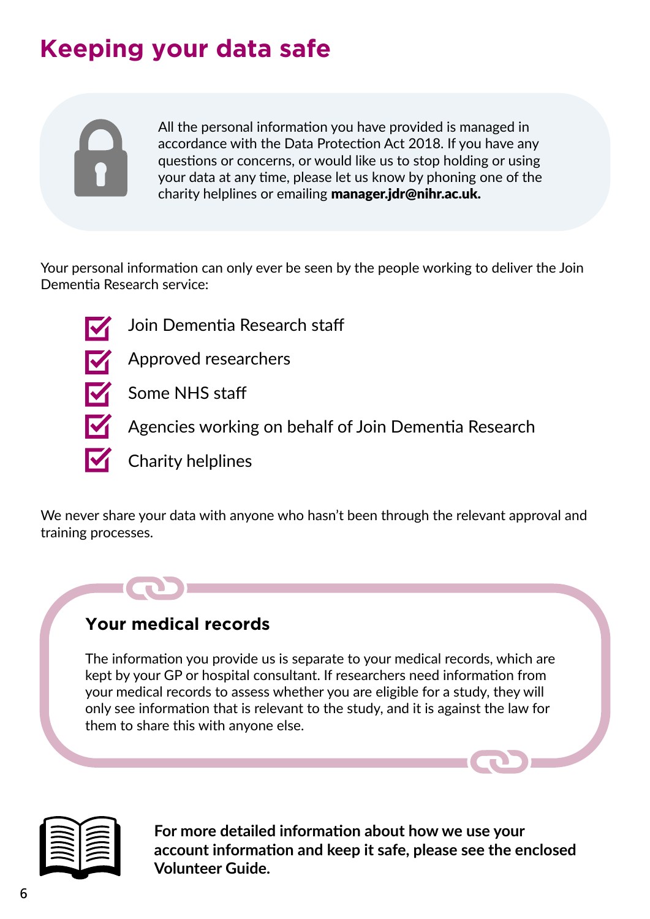## **Keeping your data safe**

All the personal information you have provided is managed in accordance with the Data Protection Act 2018. If you have any questions or concerns, or would like us to stop holding or using your data at any time, please let us know by phoning one of the charity helplines or emailing manager.jdr@nihr.ac.uk.

Your personal information can only ever be seen by the people working to deliver the Join Dementia Research service:

- 
- Join Dementia Research staff
- 
- Approved researchers
- Some NHS staff
	- Agencies working on behalf of Join Dementia Research
- $\blacksquare$  Charity helplines

We never share your data with anyone who hasn't been through the relevant approval and training processes.

#### **Your medical records**

The information you provide us is separate to your medical records, which are kept by your GP or hospital consultant. If researchers need information from your medical records to assess whether you are eligible for a study, they will only see information that is relevant to the study, and it is against the law for them to share this with anyone else.



**For more detailed information about how we use your account information and keep it safe, please see the enclosed Volunteer Guide.**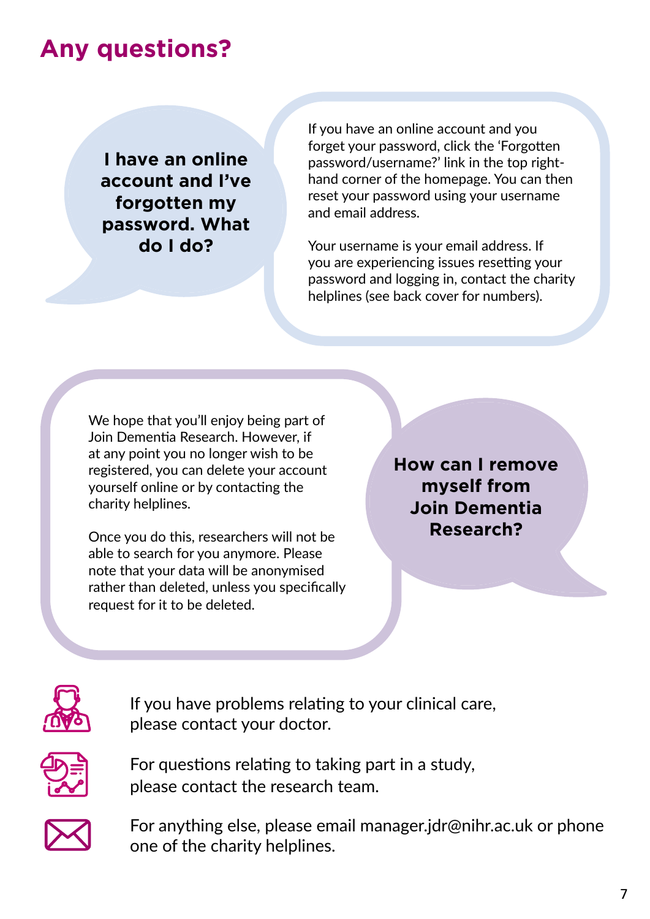#### **Any questions?**

**I have an online account and I've forgotten my password. What do I do?**

If you have an online account and you forget your password, click the 'Forgotten password/username?' link in the top righthand corner of the homepage. You can then reset your password using your username and email address.

Your username is your email address. If you are experiencing issues resetting your password and logging in, contact the charity helplines (see back cover for numbers).

We hope that you'll enjoy being part of Join Dementia Research. However, if at any point you no longer wish to be registered, you can delete your account yourself online or by contacting the charity helplines.

Once you do this, researchers will not be able to search for you anymore. Please note that your data will be anonymised rather than deleted, unless you specifically request for it to be deleted.

**How can I remove myself from Join Dementia Research?**



If you have problems relating to your clinical care, please contact your doctor.



For questions relating to taking part in a study, please contact the research team.



For anything else, please email manager.jdr@nihr.ac.uk or phone one of the charity helplines.